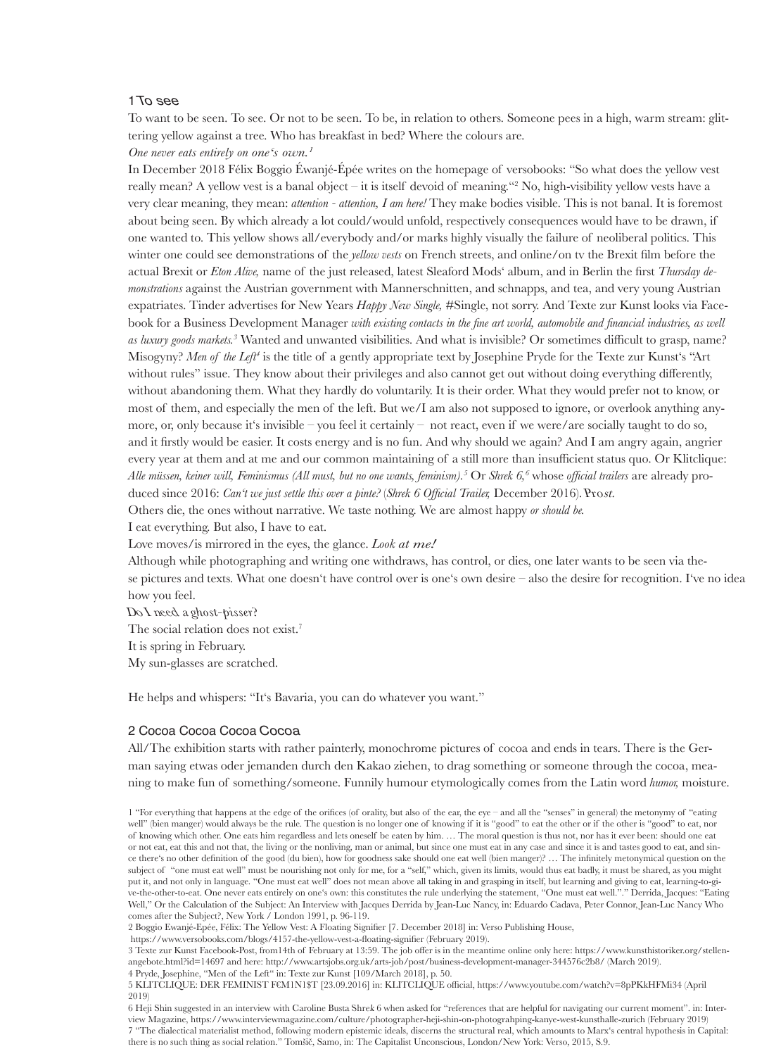#### 1 To see

To want to be seen. To see. Or not to be seen. To be, in relation to others. Someone pees in a high, warm stream: glittering yellow against a tree. Who has breakfast in bed? Where the colours are.

*One never eats entirely on one's own.1*

In December 2018 Félix Boggio Éwanjé-Épée writes on the homepage of versobooks: "So what does the yellow vest really mean? A yellow vest is a banal object – it is itself devoid of meaning."2 No, high-visibility yellow vests have a very clear meaning, they mean: *attention - attention, I am here!* They make bodies visible. This is not banal. It is foremost about being seen. By which already a lot could/would unfold, respectively consequences would have to be drawn, if one wanted to. This yellow shows all/everybody and/or marks highly visually the failure of neoliberal politics. This winter one could see demonstrations of the *yellow vests* on French streets, and online/on tv the Brexit film before the

actual Brexit or *Eton Alive,* name of the just released, latest Sleaford Mods' album, and in Berlin the first *Thursday demonstrations* against the Austrian government with Mannerschnitten, and schnapps, and tea, and very young Austrian expatriates. Tinder advertises for New Years *Happy New Single,* #Single, not sorry. And Texte zur Kunst looks via Facebook for a Business Development Manager *with existing contacts in the fine art world, automobile and financial industries, as well as luxury goods markets.3* Wanted and unwanted visibilities. And what is invisible? Or sometimes difficult to grasp, name? Misogyny? Men of the Left<sup>4</sup> is the title of a gently appropriate text by Josephine Pryde for the Texte zur Kunst's "Art without rules" issue. They know about their privileges and also cannot get out without doing everything differently, without abandoning them. What they hardly do voluntarily. It is their order. What they would prefer not to know, or most of them, and especially the men of the left. But we/I am also not supposed to ignore, or overlook anything anymore, or, only because it's invisible – you feel it certainly – not react, even if we were/are socially taught to do so, and it firstly would be easier. It costs energy and is no fun. And why should we again? And I am angry again, angrier every year at them and at me and our common maintaining of a still more than insufficient status quo. Or Klitclique: *Alle müssen, keiner will, Feminismus (All must, but no one wants, feminism).<sup>5</sup>* Or *Shrek 6,6* whose *official trailers* are already produced since 2016: *Can't we just settle this over a pinte?* (*Shrek 6 Official Trailer,* December 2016). Prost. Others die, the ones without narrative. We taste nothing. We are almost happy *or should be.* 

I eat everything. But also, I have to eat.

Love moves/is mirrored in the eyes, the glance. *Look at me!*

Although while photographing and writing one withdraws, has control, or dies, one later wants to be seen via these pictures and texts. What one doesn't have control over is one's own desire – also the desire for recognition. I've no ideahow you feel.

D<sup>o</sup> I need <sup>a</sup> *ghost-pisser?* The social relation does not exist.<sup>7</sup> It is spring in February. My sun-glasses are scratched.

He helps and whispers: "It's Bavaria, you can do whatever you want."

## 2 Cocoa Cocoa Cocoa Cocoa

All/The exhibition starts with rather painterly, monochrome pictures of cocoa and ends in tears. There is the German saying etwas oder jemanden durch den Kakao ziehen, to drag something or someone through the cocoa, meaning to make fun of something/someone. Funnily humour etymologically comes from the Latin word *humor,* moisture.

1 "For everything that happens at the edge of the orifices (of orality, but also of the ear, the eye – and all the "senses" in general) the metonymy of "eatin<sup>g</sup> well" (bien manger) would always be the rule. The question is no longer one of knowing if it is "good" to eat the other or if the other is "good" to eat, nor of knowing which other. One eats him regardless and lets oneself be eaten by him. … The moral question is thus not, nor has it ever been: should one eat or not eat, eat this and not that, the living or the nonliving, man or animal, but since one must eat in any case and since it is and tastes good to eat, and since there's no other definition of the good (du bien), how for goodness sake should one eat well (bien manger)? … The infinitely metonymical question on the subject of "one must eat well" must be nourishing not only for me, for a "self," which, given its limits, would thus eat badly, it must be shared, as you might put it, and not only in language. "One must eat well" does not mean above all taking in and grasping in itself, but learning and giving to eat, learning-to-give-the-other-to-eat. One never eats entirely on one's own: this constitutes the rule underlying the statement, "One must eat well."." Derrida, Jacques: "Eating Well," Or the Calculation of the Subject: An Interview with Jacques Derrida by Jean-Luc Nancy, in: Eduardo Cadava, Peter Connor, Jean-Luc Nancy Who comes after the Subject?, New York / London 1991, p. 96-119.

2 Boggio Ewanjé-Epée, Félix: The Yellow Vest: A Floating Signifier [7. December 2018] in: Verso Publishing House,

https://www.versobooks.com/blogs/4157-the-yellow-vest-a-floating-signifier (February 2019).

3 Texte zur Kunst Facebook-Post, from14th of February at 13:59. The job offer is in the meantime online only here: https://www.kunsthistoriker.org/stellenangebote.html?id=14697 and here: http://www.artsjobs.org.uk/arts-job/post/business-development-manager-344576c2b8/ (March 2019). 4 Pryde, Josephine, "Men of the Left" in: Texte zur Kunst [109/March 2018], p. 50.

5 KLITCLIQUE: DER FEMINIST F€M1N1\$T [23.09.2016] in: KLITCLIQUE official, https://www.youtube.com/watch?v=8pPKkHFMi34 (April 2019)

6 Heji Shin suggested in an interview with Caroline Busta Shre<sup>k</sup> 6 when asked for "references that are helpful for navigating our current moment". in: Interview Magazine, https://www.interviewmagazine.com/culture/photographer-heji-shin-on-photograhping-kanye-west-kunsthalle-zurich (February 2019) 7 "The dialectical materialist method, following modern epistemic ideals, discerns the structural real, which amounts to Marx's central hypothesis in Capital: there is no such thing as social relation." Tomšič, Samo, in: The Capitalist Unconscious, London/New York: Verso, 2015, S.9.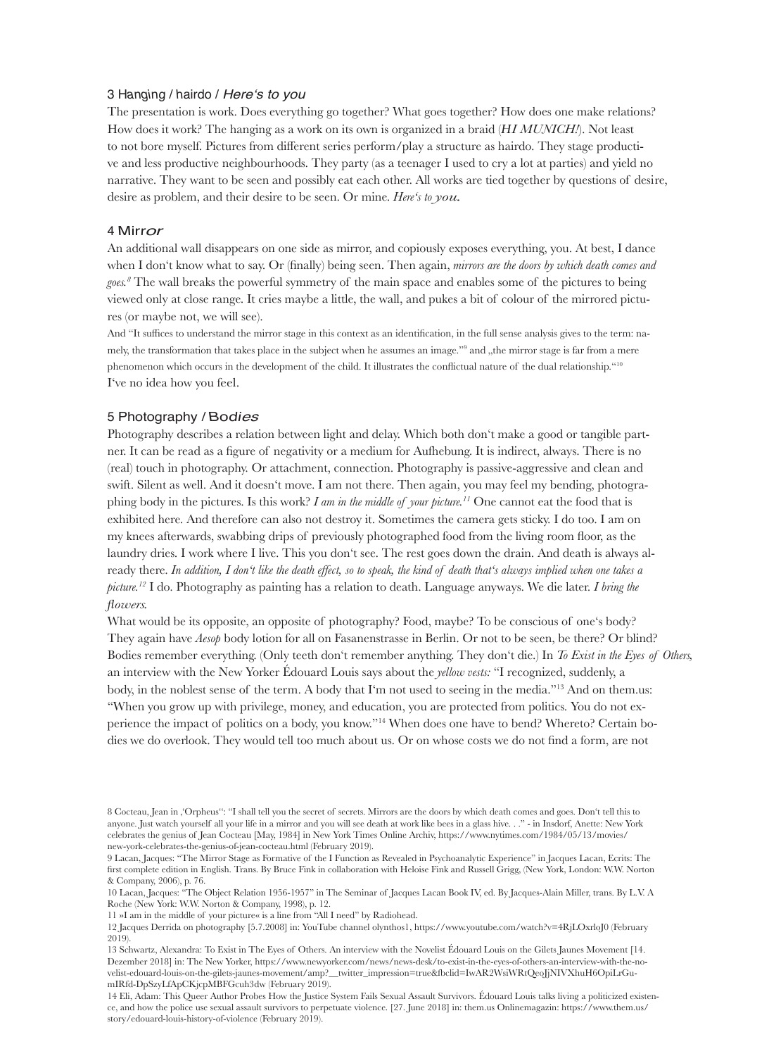## 3 Hangin<sup>g</sup> / <sup>h</sup>airdo / Here's to you

The presentation is work. Does everything go together? What goes together? How does one make relations? How does it work? The hanging as a work on its own is organized in a braid (*HI MUNICH!*). Not least to not bore myself. Pictures from different series perform/play a structure as hairdo. They stage productive and less productive neighbourhoods. They party (as a teenager I used to cry a lot at parties) and yield no narrative. They want to be seen and possibly eat each other. All works are tied together by questions of desi re, desire as problem, and their desire to be seen. Or mine. *Here's to you.*

#### <sup>4</sup><sup>M</sup>irror

An additional wall disappears on one side as mirror, and copiously exposes everything, you. At best, I dance when I don't know what to say. Or (finally) being seen. Then again, *mirrors are the doors by which death comes and goes.8* The wall breaks the powerful symmetry of the main space and enables some of the pictures to being viewed only at close range. It cries maybe a little, the wall, and pukes a bit of colour of the mirrored pictures (or maybe not, we will see).

And "It suffices to understand the mirror stage in this context as an identification, in the full sense analysis gives to the term: namely, the transformation that takes place in the subject when he assumes an image.''9 and ,,the mirror stage is far from a mere phenomenon which occurs in the development of the child. It illustrates the conflictual nature of the dual relationship."<sup>10</sup> I've no idea how you feel.

## 5 Photography / <sup>B</sup>o<sup>d</sup>ies

8 Cocteau, Jean in , Orpheus": "I shall tell you the secret of secrets. Mirrors are the doors by which death comes and goes. Don't tell this to anyone. Just watch yourself all your life in a mirror and you will see death at work like bees in a glass hive. . ." - in Insdorf, Anette: New York celebrates the genius of Jean Cocteau [May, 1984] in New York Times Online Archiv, https://www.nytimes.com/1984/05/13/movies/ new-york-celebrates-the-genius-of-jean-cocteau.html (February 2019).

Photography describes a relation between light and delay. Which both don't make a good or tangible partner. It can be read as a figure of negativity or a medium for Aufhebung. It is indirect, always. There is no (real) touch in photography. Or attachment, connection. Photography is passive-aggressive and clean and swift. Silent as well. And it doesn't move. I am not there. Then again, you may feel my bending, photographing body in the pictures. Is this work? *I am in the middle of your picture.11* One cannot eat the food that is exhibited here. And therefore can also not destroy it. Sometimes the camera gets sticky. I do too. I am on my knees afterwards, swabbing drips of previously photographed food from the living room floor, as the laundry dries. I work where I live. This you don't see. The rest goes down the drain. And death is always already there. *In addition, I don't like the death effect, so to speak, the kind of death that's always implied when one takes a picture.12* I do. Photography as painting has a relation to death. Language anyways. We die later. *I bring the flowers.* What would be its opposite, an opposite of photography? Food, maybe? To be conscious of one's body? They again have *Aesop* body lotion for all on Fasanenstrasse in Berlin. Or not to be seen, be there? Or blind? Bodies remember everything. (Only teeth don't remember anything. They don't die.) In *To Exist in the Eyes of Others,*  an interview with the New Yorker Édouard Louis says about the *yellow vests:* "I recognized, suddenly, a body, in the noblest sense of the term. A body that I'm not used to seeing in the media."<sup>13</sup> And on them.us: "When you grow up with privilege, money, and education, you are protected from politics. You do not experience the impact of politics on a body, you know."14 When does one have to bend? Whereto? Certain bodies we do overlook. They would tell too much about us. Or on whose costs we do not find a form, are not

9 Lacan, Jacques: "The Mirror Stage as Formative of the I Function as Revealed in Psychoanalytic Experience" in Jacques Lacan, Ecrits: The first complete edition in English. Trans. By Bruce Fink in collaboration with Heloise Fink and Russell Grigg, (New York, London: W.W. Norton & Company, 2006), p. 76.

10 Lacan, Jacques: "The Object Relation 1956-1957" in The Seminar of Jacques Lacan Book IV, ed. By Jacques-Alain Miller, trans. By L.V. A Roche (New York: W.W. Norton & Company, 1998), p. 12.

11 »I am in the middle of your picture« is a line from "All I need" by Radiohead.

12 Jacques Derrida on photography [5.7.2008] in: YouTube channel olynthos1, https://www.youtube.com/watch?v=4RjLOxrloJ0 (February 2019).

13 Schwartz, Alexandra: To Exist in The Eyes of Others. An interview with the Novelist Édouard Louis on the Gilets Jaunes Movement [14. Dezember 2018] in: The New Yorker, https://www.newyorker.com/news/news-desk/to-exist-in-the-eyes-of-others-an-interview-with-the-novelist-edouard-louis-on-the-gilets-jaunes-movement/amp?\_\_twitter\_impression=true&fbclid=IwAR2WsiWRtQeoJjNIVXhuH6OpiLrGumIRfd-DpSzyLfApCKjcpMBFGcuh3dw (February 2019).

14 Eli, Adam: This Queer Author Probes How the Justice System Fails Sexual Assault Survivors. Édouard Louis talks living a politicized existence, and how the police use sexual assault survivors to perpetuate violence. [27. June 2018] in: them.us Onlinemagazin: https://www.them.us/ story/edouard-louis-history-of-violence (February 2019).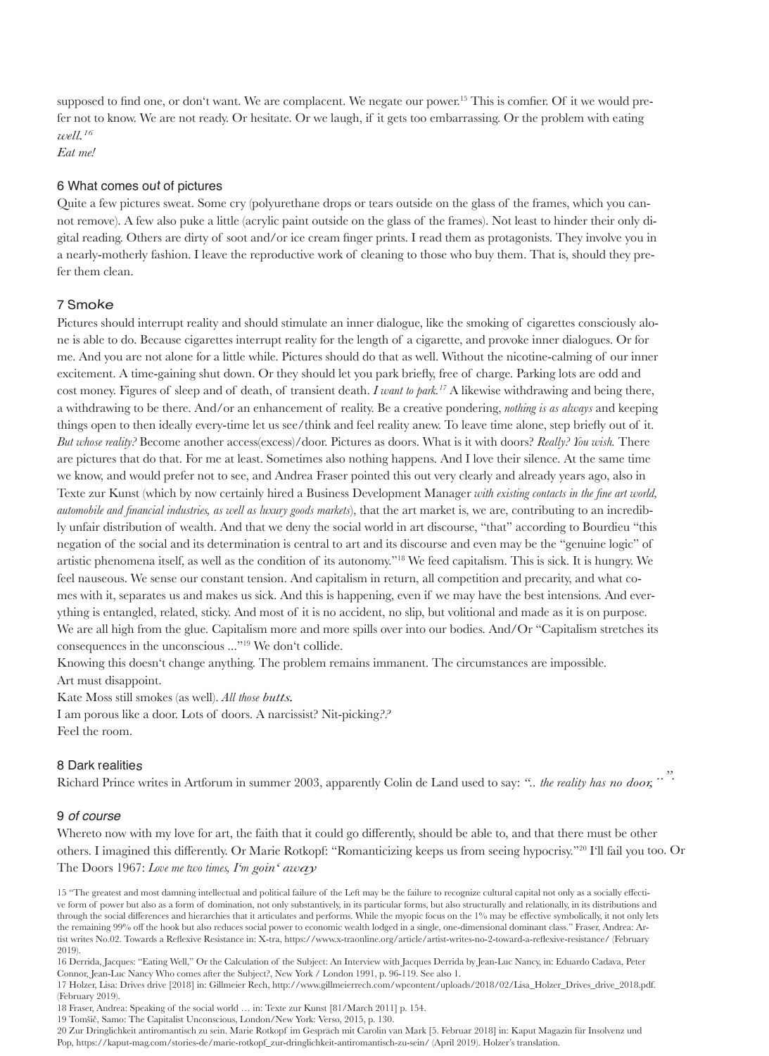supposed to find one, or don't want. We are complacent. We negate our power.<sup>15</sup> This is comfier. Of it we would prefer not to know. We are not ready. Or hesitate. Or we laugh, if it gets too embarrassing. Or the problem with eating *<sup>w</sup>ell.16*

*Eat me!*

### 6 What comes ou<sup>t</sup> of pictures

Pictures should interrupt reality and should stimulate an inner dialogue, like the smoking of cigarettes consciously alone is able to do. Because cigarettes interrupt reality for the length of a cigarette, and provoke inner dialogues. Or for me. And you are not alone for a little while. Pictures should do that as well. Without the nicotine-calming of our inner excitement. A time-gaining shut down. Or they should let you park briefly, free of charge. Parking lots are odd and cost money. Figures of sleep and of death, of transient death. *I want to park.17* A likewise withdrawing and being there, a withdrawing to be there. And/or an enhancement of reality. Be a creative pondering, *nothing is as always* and keeping things open to then ideally every-time let us see/think and feel reality anew. To leave time alone, step briefly out of it. *But whose reality?* Become another access(excess)/door. Pictures as doors. What is it with doors? *Really? You wish.* There are pictures that do that. For me at least. Sometimes also nothing happens. And I love their silence. At the same time we know, and would prefer not to see, and Andrea Fraser pointed this out very clearly and already years ago, also in Texte zur Kunst (which by now certainly hired a Business Development Manager *with existing contacts in the fine art world, automobile and financial industries, as well as luxury goods markets*), that the art market is, we are, contributing to an incredibly unfair distribution of wealth. And that we deny the social world in art discourse, "that" according to Bourdieu "this negation of the social and its determination is central to art and its discourse and even may be the "genuine logic" of artistic phenomena itself, as well as the condition of its autonomy."18 We feed capitalism. This is sick. It is hungry. We feel nauseous. We sense our constant tension. And capitalism in return, all competition and precarity, and what comes with it, separates us and makes us sick. And this is happening, even if we may have the best intensions. And everything is entangled, related, sticky. And most of it is no accident, no slip, but volitional and made as it is on purpose. We are all high from the glue. Capitalism more and more spills over into our bodies. And/Or "Capitalism stretches its consequences in the unconscious ..."<sup>19</sup> We don't collide.

Quite a few pictures sweat. Some cry (polyurethane drops or tears outside on the glass of the frames, which you cannot remove). A few also puke a little (acrylic paint outside on the glass of the frames). Not least to hinder their only digital reading. Others are dirty of soot and/or ice cream finger prints. I read them as protagonists. They involve you in a nearly-motherly fashion. I leave the reproductive work of cleaning to those who buy them. That is, should they pre-

#### fer them clean.

# 7 <sup>S</sup>moke

I am porous like a door. Lots of doors. A narcissist? Nit-picking?? Feel the room.

Knowing this doesn't change anything. The problem remains immanent. The circumstances are impossible. Art must disappoint.

Kate Moss still smokes (as well). *All those butts.*

## 8 Dark realitie<sup>s</sup>

## 9 of course

Whereto now with my love for art, the faith that it could go differently, should be able to, and that there must be other others. I imagined this differently. Or Marie Rotkopf: "Romanticizing keeps us from seeing hypocrisy."20 I'll fail you too. OrThe Doors 1967: *Love me two times, I'm goin' away*

15 "The greatest and most damning intellectual and political failure of the Left may be the failure to recognize cultural capital not only as a socially effective form of power but also as a form of domination, not only substantively, in its particular forms, but also structurally and relationally, in its distributions and through the social differences and hierarchies that it articulates and performs. While the myopic focus on the 1% may be effective symbolically, it not only lets the remaining 99% off the hook but also reduces social power to economic wealth lodged in a single, one-dimensional dominant class." Fraser, Andrea: Artist writes No.02. Towards a Reflexive Resistance in: X-tra, https://www.x-traonline.org/article/artist-writes-no-2-toward-a-reflexive-resistance/ (February 2019).

Richard Prince writes in Artforum in summer 2003, apparently Colin de Land used to say: *".. the reality has no door, ..".*

16 Derrida, Jacques: "Eating Well," Or the Calculation of the Subject: An Interview with Jacques Derrida by Jean-Luc Nancy, in: Eduardo Cadava, Peter Connor, Jean-Luc Nancy Who comes after the Subject?, New York / London 1991, p. 96-119. See also 1.

17 Holzer, Lisa: Drives drive [2018] in: Gillmeier Rech, http://www.gillmeierrech.com/wpcontent/uploads/2018/02/Lisa\_Holzer\_Drives\_drive\_2018.pdf. (February 2019).

18 Fraser, Andrea: Speaking of the social world … in: Texte zur Kunst [81/March 2011] p. 154.

19 Tomšič, Samo: The Capitalist Unconscious, London/New York: Verso, 2015, p. 130.

20 Zur Dringlichkeit antiromantisch zu sein. Marie Rotkopf im Gespräch mit Carolin van Mark [5. Februar 2018] in: Kaput Magazin für Insolvenz und Pop, https://kaput-mag.com/stories-de/marie-rotkopf\_zur-dringlichkeit-antiromantisch-zu-sein/ (April 2019). Holzer's translation.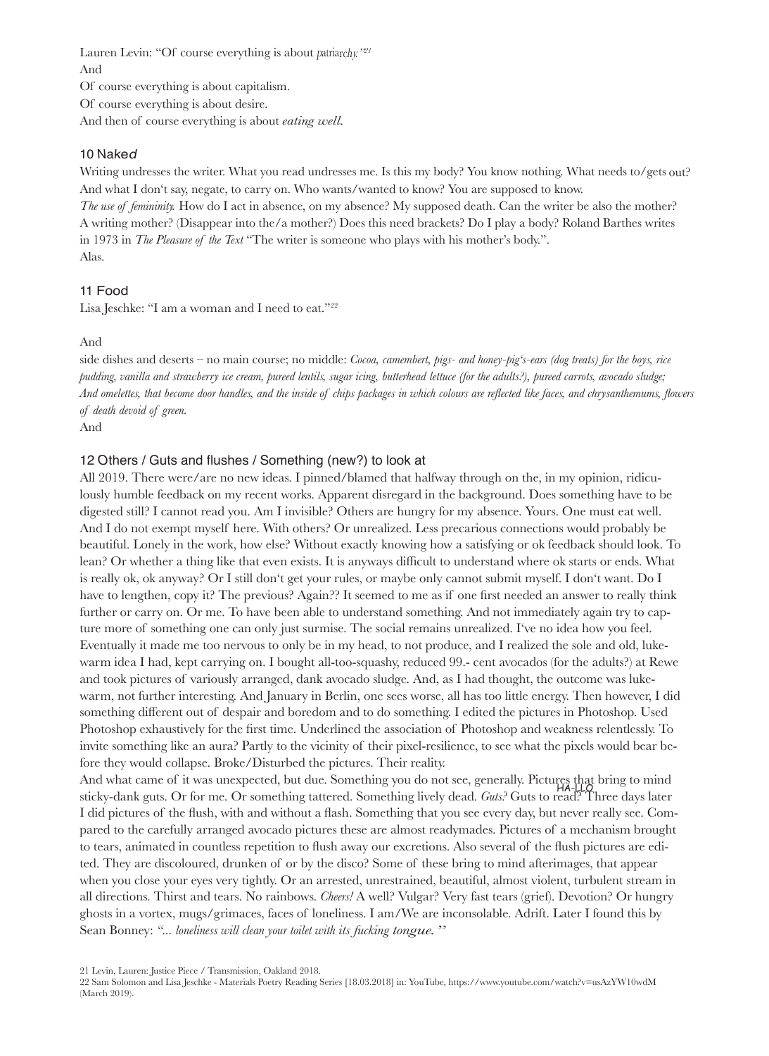Lauren Levin: "Of course everything is about patriarchy." And

Of course everything is about capitalism. Of course everything is about desire. And then of course everything is about *eating well.*

#### 10 Na<sup>k</sup>e<sup>d</sup>

Writing undresses the writer. What you read undresses me. Is this my body? You know nothing. What needs to/gets out? And what I don't say, negate, to carry on. Who wants/wanted to know? You are supposed to know. *The use of femininity.* How do I act in absence, on my absence? My supposed death. Can the writer be also the mother? A writing mother? (Disappear into the/a mother?) Does this need brackets? Do I play a body? Roland Barthes writes in 1973 in *The Pleasure of the Text* "The writer is someone who plays with his mother's body.". Alas.

### 11 Food

### Lisa Jeschke: "I am a woman and I need to eat." $22$

#### And

side dishes and deserts – no main course; no middle: *Cocoa, camembert, pigs- and honey-pig's-ears (dog treats) for the boys, rice pudding, vanilla and strawberry ice cream, pureed lentils, sugar icing, butterhead lettuce (for the adults?), pureed carrots, avocado sludge;*  And omelettes, that become door handles, and the inside of chips packages in which colours are reflected like faces, and chrysanthemums, flowers *of death devoid of green.* And

## 12 Others / Guts and flushes / Something (new?) to look at

All 2019. There were/are no new ideas. I pinned/blamed that halfway through on the, in my opinion, ridiculously humble feedback on my recent works. Apparent disregard in the background. Does something have to be digested still? I cannot read you. Am I invisible? Others are hungry for my absence. Yours. One must eat well. And I do not exempt myself here. With others? Or unrealized. Less precarious connections would probably be beautiful. Lonely in the work, how else? Without exactly knowing how a satisfying or ok feedback should look. To lean? Or whether a thing like that even exists. It is anyways difficult to understand where ok starts or ends. What is really ok, ok anyway? Or I still don't get your rules, or maybe only cannot submit myself. I don't want. Do I have to lengthen, copy it? The previous? Again?? It seemed to me as if one first needed an answer to really think further or carry on. Or me. To have been able to understand something. And not immediately again try to capture more of something one can only just surmise. The social remains unrealized. I've no idea how you feel. Eventually it made me too nervous to only be in my head, to not produce, and I realized the sole and old, lukewarm idea I had, kept carrying on. I bought all-too-squashy, reduced 99.- cent avocados (for the adults?) at Rewe and took pictures of variously arranged, dank avocado sludge. And, as I had thought, the outcome was lukewarm, not further interesting. And January in Berlin, one sees worse, all has too little energy. Then however, I did something different out of despair and boredom and to do something. I edited the pictures in Photoshop. Used Photoshop exhaustively for the first time. Underlined the association of Photoshop and weakness relentlessly. To invite something like an aura? Partly to the vicinity of their pixel-resilience, to see what the pixels would bear before they would collapse. Broke/Disturbed the pictures. Their reality. And what came of it was unexpected, but due. Something you do not see, generally. Pictures that bring to mind

sticky-dank guts. Or for me. Or something tattered. Something lively dead. *Guts?* Guts to read? Three days later I did pictures of the flush, with and without a flash. Something that you see every day, but never really see. Compared to the carefully arranged avocado pictures these are almost readymades. Pictures of a mechanism brought to tears, animated in countless repetition to flush away our excretions. Also several of the flush pictures are edited. They are discoloured, drunken of or by the disco? Some of these bring to mind afterimages, that appear when you close your eyes very tightly. Or an arrested, unrestrained, beautiful, almost violent, turbulent stream in all directions. Thirst and tears. No rainbows. *Cheers!* A well? Vulgar? Very fast tears (grief). Devotion? Or hungry ghosts in a vortex, mugs/grimaces, faces of loneliness. I am/We are inconsolable. Adrift. Later I found this by Sean Bonney: "... *loneliness will clean your toilet with its fucking tongue.*" HA-LLO

21 Levin, Lauren: Justice Piece / Transmission, Oakland 2018.

22 Sam Solomon and Lisa Jeschke - Materials Poetry Reading Series [18.03.2018] in: YouTube, https://www.youtube.com/watch?v=usAzYW10wdM (March 2019).